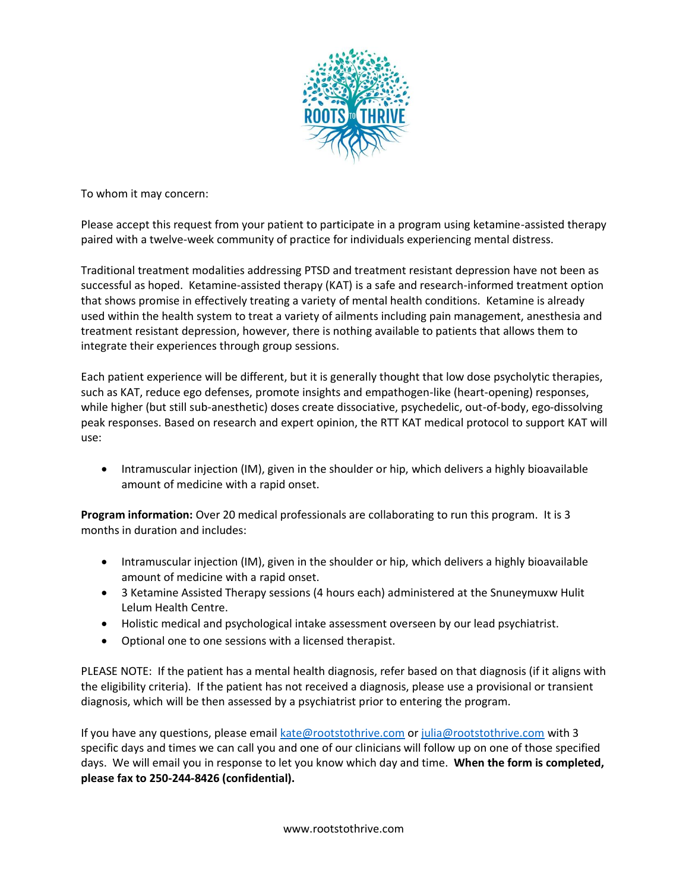

To whom it may concern:

Please accept this request from your patient to participate in a program using ketamine-assisted therapy paired with a twelve-week community of practice for individuals experiencing mental distress.

Traditional treatment modalities addressing PTSD and treatment resistant depression have not been as successful as hoped. Ketamine-assisted therapy (KAT) is a safe and research-informed treatment option that shows promise in effectively treating a variety of mental health conditions. Ketamine is already used within the health system to treat a variety of ailments including pain management, anesthesia and treatment resistant depression, however, there is nothing available to patients that allows them to integrate their experiences through group sessions.

Each patient experience will be different, but it is generally thought that low dose psycholytic therapies, such as KAT, reduce ego defenses, promote insights and empathogen-like (heart-opening) responses, while higher (but still sub-anesthetic) doses create dissociative, psychedelic, out-of-body, ego-dissolving peak responses. Based on research and expert opinion, the RTT KAT medical protocol to support KAT will use:

• Intramuscular injection (IM), given in the shoulder or hip, which delivers a highly bioavailable amount of medicine with a rapid onset.

**Program information:** Over 20 medical professionals are collaborating to run this program. It is 3 months in duration and includes:

- Intramuscular injection (IM), given in the shoulder or hip, which delivers a highly bioavailable amount of medicine with a rapid onset.
- 3 Ketamine Assisted Therapy sessions (4 hours each) administered at the Snuneymuxw Hulit Lelum Health Centre.
- Holistic medical and psychological intake assessment overseen by our lead psychiatrist.
- Optional one to one sessions with a licensed therapist.

PLEASE NOTE: If the patient has a mental health diagnosis, refer based on that diagnosis (if it aligns with the eligibility criteria). If the patient has not received a diagnosis, please use a provisional or transient diagnosis, which will be then assessed by a psychiatrist prior to entering the program.

If you have any questions, please email [kate@rootstothrive.com](mailto:kate@rootstothrive.com) or [julia@rootstothrive.com](mailto:julia@rootstothrive.com) with 3 specific days and times we can call you and one of our clinicians will follow up on one of those specified days. We will email you in response to let you know which day and time. **When the form is completed, please fax to 250-244-8426 (confidential).**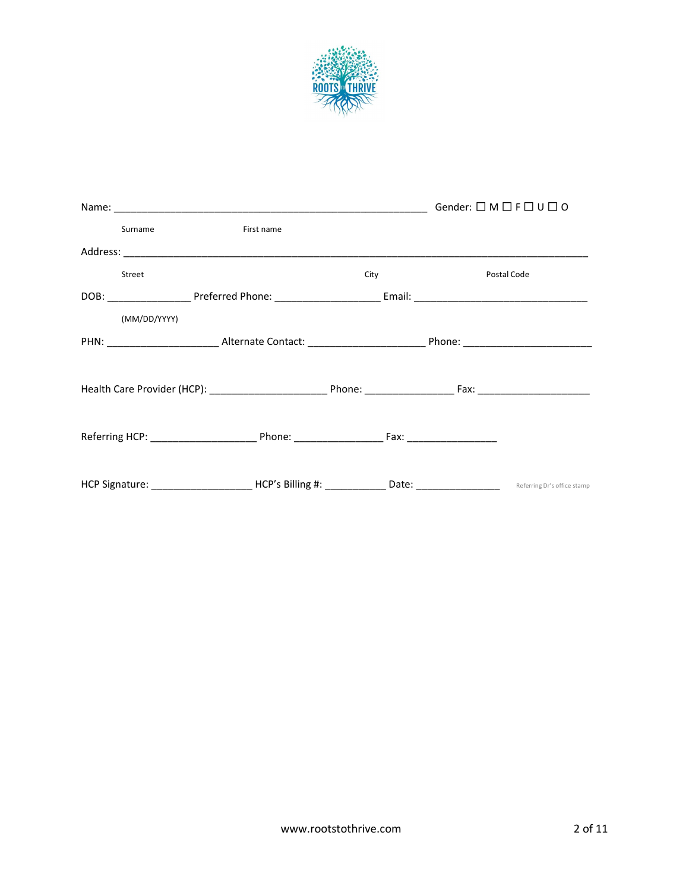

| <b>Surname Surname</b> | First name                                                                                                                      |                    |             |
|------------------------|---------------------------------------------------------------------------------------------------------------------------------|--------------------|-------------|
|                        |                                                                                                                                 |                    |             |
| Street                 |                                                                                                                                 | City <b>Called</b> | Postal Code |
|                        |                                                                                                                                 |                    |             |
| (MM/DD/YYYY)           |                                                                                                                                 |                    |             |
|                        |                                                                                                                                 |                    |             |
|                        |                                                                                                                                 |                    |             |
|                        |                                                                                                                                 |                    |             |
|                        |                                                                                                                                 |                    |             |
|                        |                                                                                                                                 |                    |             |
|                        |                                                                                                                                 |                    |             |
|                        | HCP Signature: ______________________HCP's Billing #: _____________Date: __________________________ Referring Dr's office stamp |                    |             |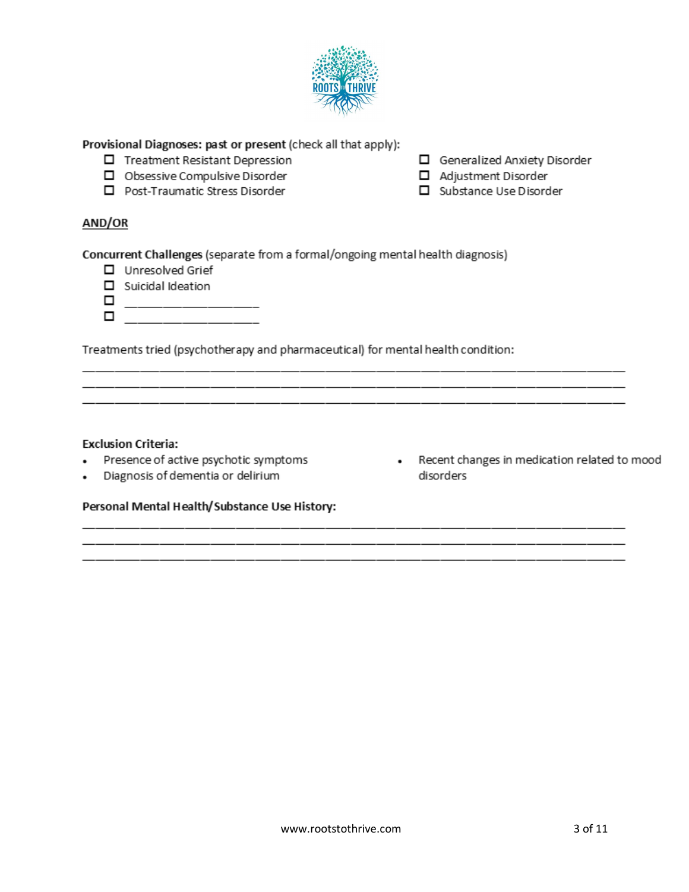

Provisional Diagnoses: past or present (check all that apply):

- □ Treatment Resistant Depression<br>□ Obsessive Compulsive Disorder<br>□ Post-Traumatic Stress Disorder Treatment Resistant Depression
- 
- D Post-Traumatic Stress Disorder

Generalized Anxiety Disorder

- Adjustment Disorder
- Substance Use Disorder

## AND/OR

Concurrent Challenges (separate from a formal/ongoing mental health diagnosis)

- □ Unresolved Grief
- $\Box$  Suicidal Ideation
- 

Treatments tried (psychotherapy and pharmaceutical) for mental health condition:

<u> 1980 - Johann Stoff, amerikan bestein de stad in de stad in de stad in de stad in de stad in de stad in de st</u>

### **Exclusion Criteria:**

- $\cdot$
- Diagnosis of dementia or delirium  $\cdot$
- Presence of active psychotic symptoms **can be a set of a set of active** psychotic symptoms **can be a set of a set of a** disorders

#### Personal Mental Health/Substance Use History: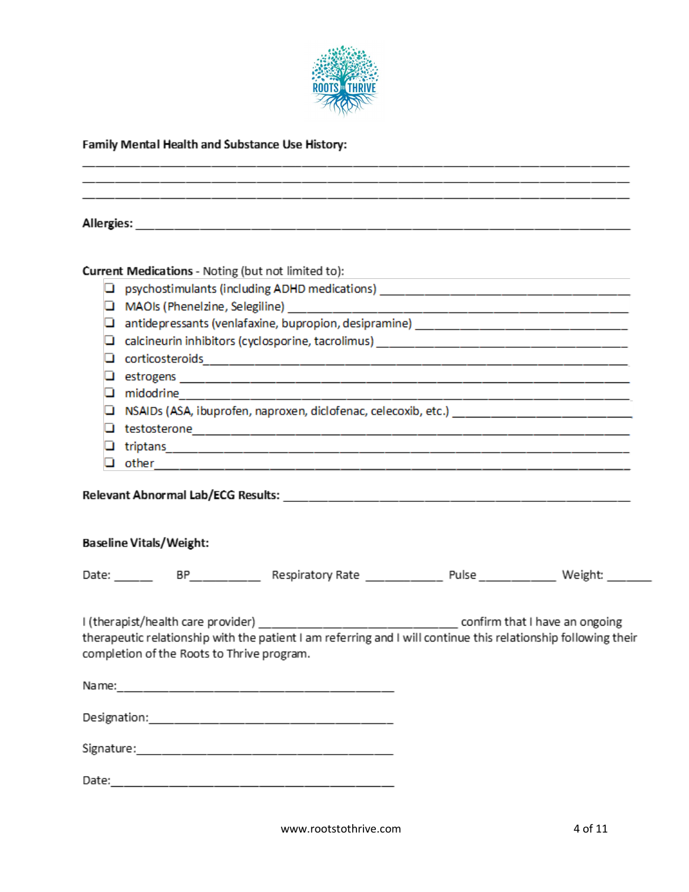

# Family Mental Health and Substance Use History:

| ப<br>⊔ | Current Medications - Noting (but not limited to): | psychostimulants (including ADHD medications) __________________________________<br>□ NSAIDs (ASA, ibuprofen, naproxen, diclofenac, celecoxib, etc.) __________________________________ |  |
|--------|----------------------------------------------------|-----------------------------------------------------------------------------------------------------------------------------------------------------------------------------------------|--|
|        | <b>Baseline Vitals/Weight:</b>                     |                                                                                                                                                                                         |  |
|        |                                                    |                                                                                                                                                                                         |  |
|        | completion of the Roots to Thrive program.         | therapeutic relationship with the patient I am referring and I will continue this relationship following their                                                                          |  |
|        |                                                    |                                                                                                                                                                                         |  |
|        |                                                    |                                                                                                                                                                                         |  |
|        |                                                    |                                                                                                                                                                                         |  |
|        |                                                    |                                                                                                                                                                                         |  |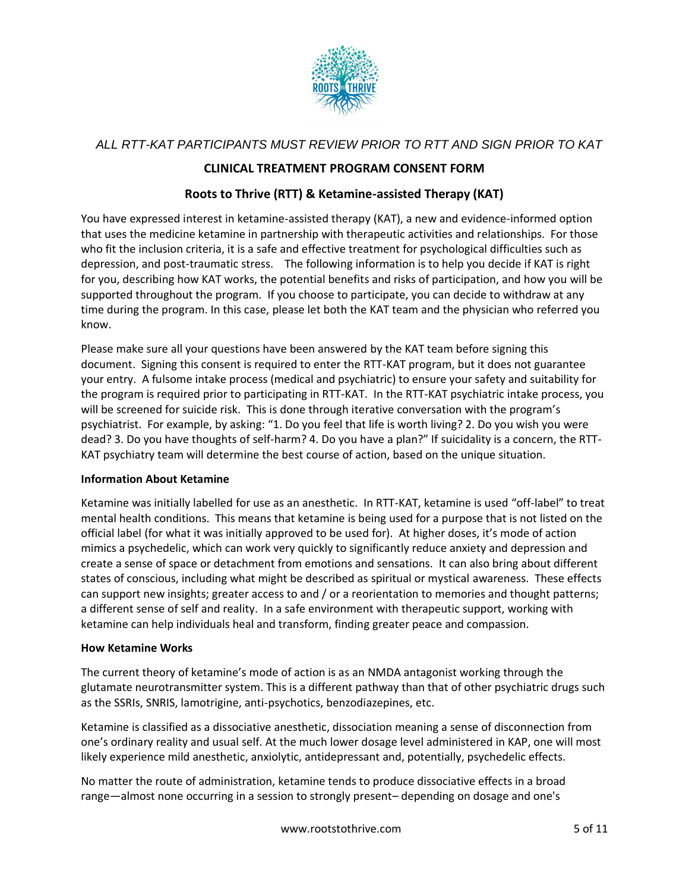

# *ALL RTT-KAT PARTICIPANTS MUST REVIEW PRIOR TO RTT AND SIGN PRIOR TO KAT*

## **CLINICAL TREATMENT PROGRAM CONSENT FORM**

## **Roots to Thrive (RTT) & Ketamine-assisted Therapy (KAT)**

You have expressed interest in ketamine-assisted therapy (KAT), a new and evidence-informed option that uses the medicine ketamine in partnership with therapeutic activities and relationships. For those who fit the inclusion criteria, it is a safe and effective treatment for psychological difficulties such as depression, and post-traumatic stress. The following information is to help you decide if KAT is right for you, describing how KAT works, the potential benefits and risks of participation, and how you will be supported throughout the program. If you choose to participate, you can decide to withdraw at any time during the program. In this case, please let both the KAT team and the physician who referred you know.

Please make sure all your questions have been answered by the KAT team before signing this document. Signing this consent is required to enter the RTT-KAT program, but it does not guarantee your entry. A fulsome intake process (medical and psychiatric) to ensure your safety and suitability for the program is required prior to participating in RTT-KAT. In the RTT-KAT psychiatric intake process, you will be screened for suicide risk. This is done through iterative conversation with the program's psychiatrist. For example, by asking: "1. Do you feel that life is worth living? 2. Do you wish you were dead? 3. Do you have thoughts of self-harm? 4. Do you have a plan?" If suicidality is a concern, the RTT-KAT psychiatry team will determine the best course of action, based on the unique situation.

#### **Information About Ketamine**

Ketamine was initially labelled for use as an anesthetic. In RTT-KAT, ketamine is used "off-label" to treat mental health conditions. This means that ketamine is being used for a purpose that is not listed on the official label (for what it was initially approved to be used for). At higher doses, it's mode of action mimics a psychedelic, which can work very quickly to significantly reduce anxiety and depression and create a sense of space or detachment from emotions and sensations. It can also bring about different states of conscious, including what might be described as spiritual or mystical awareness. These effects can support new insights; greater access to and / or a reorientation to memories and thought patterns; a different sense of self and reality. In a safe environment with therapeutic support, working with ketamine can help individuals heal and transform, finding greater peace and compassion.

#### **How Ketamine Works**

The current theory of ketamine's mode of action is as an NMDA antagonist working through the glutamate neurotransmitter system. This is a different pathway than that of other psychiatric drugs such as the SSRIs, SNRIS, lamotrigine, anti-psychotics, benzodiazepines, etc.

Ketamine is classified as a dissociative anesthetic, dissociation meaning a sense of disconnection from one's ordinary reality and usual self. At the much lower dosage level administered in KAP, one will most likely experience mild anesthetic, anxiolytic, antidepressant and, potentially, psychedelic effects.

No matter the route of administration, ketamine tends to produce dissociative effects in a broad range—almost none occurring in a session to strongly present– depending on dosage and one's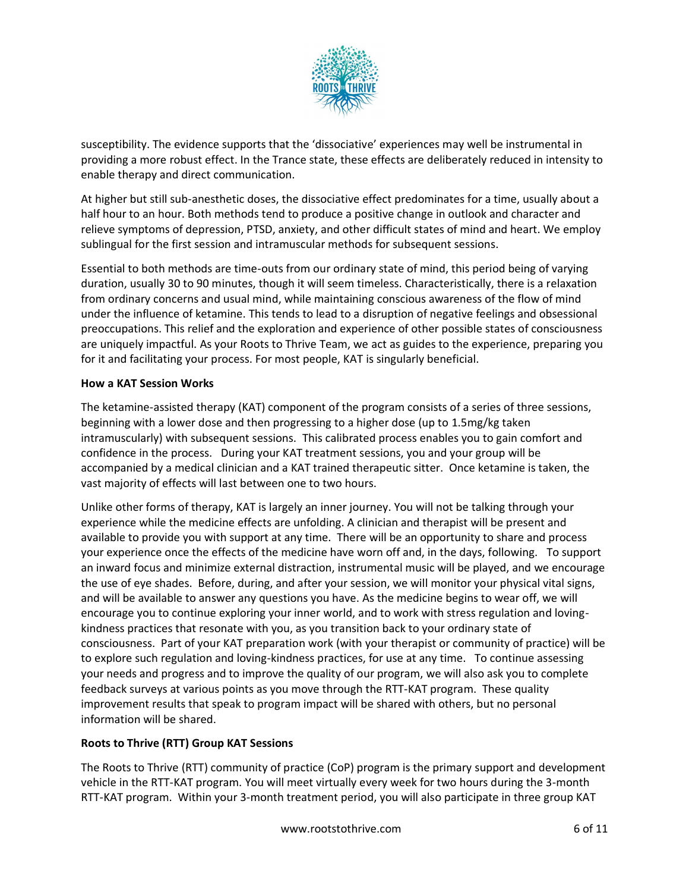

susceptibility. The evidence supports that the 'dissociative' experiences may well be instrumental in providing a more robust effect. In the Trance state, these effects are deliberately reduced in intensity to enable therapy and direct communication.

At higher but still sub-anesthetic doses, the dissociative effect predominates for a time, usually about a half hour to an hour. Both methods tend to produce a positive change in outlook and character and relieve symptoms of depression, PTSD, anxiety, and other difficult states of mind and heart. We employ sublingual for the first session and intramuscular methods for subsequent sessions.

Essential to both methods are time-outs from our ordinary state of mind, this period being of varying duration, usually 30 to 90 minutes, though it will seem timeless. Characteristically, there is a relaxation from ordinary concerns and usual mind, while maintaining conscious awareness of the flow of mind under the influence of ketamine. This tends to lead to a disruption of negative feelings and obsessional preoccupations. This relief and the exploration and experience of other possible states of consciousness are uniquely impactful. As your Roots to Thrive Team, we act as guides to the experience, preparing you for it and facilitating your process. For most people, KAT is singularly beneficial.

### **How a KAT Session Works**

The ketamine-assisted therapy (KAT) component of the program consists of a series of three sessions, beginning with a lower dose and then progressing to a higher dose (up to 1.5mg/kg taken intramuscularly) with subsequent sessions. This calibrated process enables you to gain comfort and confidence in the process. During your KAT treatment sessions, you and your group will be accompanied by a medical clinician and a KAT trained therapeutic sitter. Once ketamine is taken, the vast majority of effects will last between one to two hours.

Unlike other forms of therapy, KAT is largely an inner journey. You will not be talking through your experience while the medicine effects are unfolding. A clinician and therapist will be present and available to provide you with support at any time. There will be an opportunity to share and process your experience once the effects of the medicine have worn off and, in the days, following. To support an inward focus and minimize external distraction, instrumental music will be played, and we encourage the use of eye shades. Before, during, and after your session, we will monitor your physical vital signs, and will be available to answer any questions you have. As the medicine begins to wear off, we will encourage you to continue exploring your inner world, and to work with stress regulation and lovingkindness practices that resonate with you, as you transition back to your ordinary state of consciousness. Part of your KAT preparation work (with your therapist or community of practice) will be to explore such regulation and loving-kindness practices, for use at any time. To continue assessing your needs and progress and to improve the quality of our program, we will also ask you to complete feedback surveys at various points as you move through the RTT-KAT program. These quality improvement results that speak to program impact will be shared with others, but no personal information will be shared.

#### **Roots to Thrive (RTT) Group KAT Sessions**

The Roots to Thrive (RTT) community of practice (CoP) program is the primary support and development vehicle in the RTT-KAT program. You will meet virtually every week for two hours during the 3-month RTT-KAT program. Within your 3-month treatment period, you will also participate in three group KAT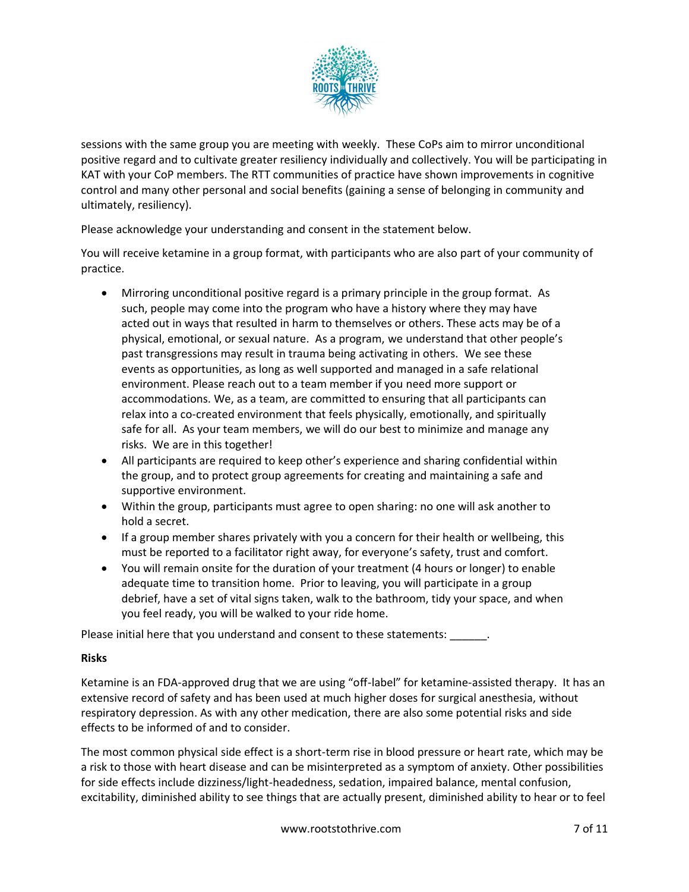

sessions with the same group you are meeting with weekly. These CoPs aim to mirror unconditional positive regard and to cultivate greater resiliency individually and collectively. You will be participating in KAT with your CoP members. The RTT communities of practice have shown improvements in cognitive control and many other personal and social benefits (gaining a sense of belonging in community and ultimately, resiliency).

Please acknowledge your understanding and consent in the statement below.

You will receive ketamine in a group format, with participants who are also part of your community of practice.

- Mirroring unconditional positive regard is a primary principle in the group format. As such, people may come into the program who have a history where they may have acted out in ways that resulted in harm to themselves or others. These acts may be of a physical, emotional, or sexual nature. As a program, we understand that other people's past transgressions may result in trauma being activating in others. We see these events as opportunities, as long as well supported and managed in a safe relational environment. Please reach out to a team member if you need more support or accommodations. We, as a team, are committed to ensuring that all participants can relax into a co-created environment that feels physically, emotionally, and spiritually safe for all. As your team members, we will do our best to minimize and manage any risks. We are in this together!
- All participants are required to keep other's experience and sharing confidential within the group, and to protect group agreements for creating and maintaining a safe and supportive environment.
- Within the group, participants must agree to open sharing: no one will ask another to hold a secret.
- If a group member shares privately with you a concern for their health or wellbeing, this must be reported to a facilitator right away, for everyone's safety, trust and comfort.
- You will remain onsite for the duration of your treatment (4 hours or longer) to enable adequate time to transition home. Prior to leaving, you will participate in a group debrief, have a set of vital signs taken, walk to the bathroom, tidy your space, and when you feel ready, you will be walked to your ride home.

Please initial here that you understand and consent to these statements: \_\_\_\_\_\_\_.

#### **Risks**

Ketamine is an FDA-approved drug that we are using "off-label" for ketamine-assisted therapy. It has an extensive record of safety and has been used at much higher doses for surgical anesthesia, without respiratory depression. As with any other medication, there are also some potential risks and side effects to be informed of and to consider.

The most common physical side effect is a short-term rise in blood pressure or heart rate, which may be a risk to those with heart disease and can be misinterpreted as a symptom of anxiety. Other possibilities for side effects include dizziness/light-headedness, sedation, impaired balance, mental confusion, excitability, diminished ability to see things that are actually present, diminished ability to hear or to feel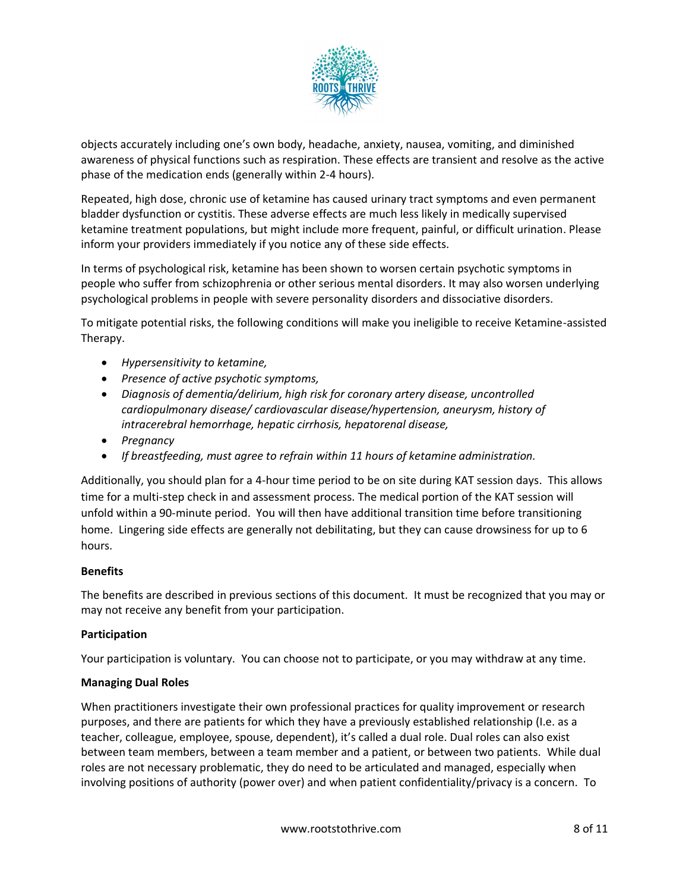

objects accurately including one's own body, headache, anxiety, nausea, vomiting, and diminished awareness of physical functions such as respiration. These effects are transient and resolve as the active phase of the medication ends (generally within 2-4 hours).

Repeated, high dose, chronic use of ketamine has caused urinary tract symptoms and even permanent bladder dysfunction or cystitis. These adverse effects are much less likely in medically supervised ketamine treatment populations, but might include more frequent, painful, or difficult urination. Please inform your providers immediately if you notice any of these side effects.

In terms of psychological risk, ketamine has been shown to worsen certain psychotic symptoms in people who suffer from schizophrenia or other serious mental disorders. It may also worsen underlying psychological problems in people with severe personality disorders and dissociative disorders.

To mitigate potential risks, the following conditions will make you ineligible to receive Ketamine-assisted Therapy.

- *Hypersensitivity to ketamine,*
- *Presence of active psychotic symptoms,*
- *Diagnosis of dementia/delirium, high risk for coronary artery disease, uncontrolled cardiopulmonary disease/ cardiovascular disease/hypertension, aneurysm, history of intracerebral hemorrhage, hepatic cirrhosis, hepatorenal disease,*
- *Pregnancy*
- *If breastfeeding, must agree to refrain within 11 hours of ketamine administration.*

Additionally, you should plan for a 4-hour time period to be on site during KAT session days. This allows time for a multi-step check in and assessment process. The medical portion of the KAT session will unfold within a 90-minute period. You will then have additional transition time before transitioning home. Lingering side effects are generally not debilitating, but they can cause drowsiness for up to 6 hours.

#### **Benefits**

The benefits are described in previous sections of this document. It must be recognized that you may or may not receive any benefit from your participation.

#### **Participation**

Your participation is voluntary. You can choose not to participate, or you may withdraw at any time.

#### **Managing Dual Roles**

When practitioners investigate their own professional practices for quality improvement or research purposes, and there are patients for which they have a previously established relationship (I.e. as a teacher, colleague, employee, spouse, dependent), it's called a dual role. Dual roles can also exist between team members, between a team member and a patient, or between two patients. While dual roles are not necessary problematic, they do need to be articulated and managed, especially when involving positions of authority (power over) and when patient confidentiality/privacy is a concern. To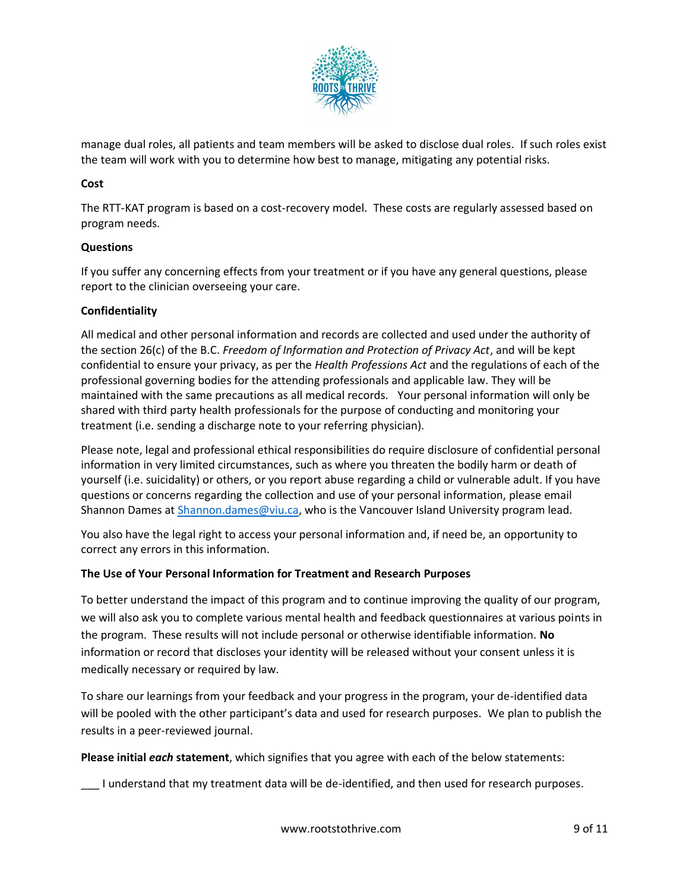

manage dual roles, all patients and team members will be asked to disclose dual roles. If such roles exist the team will work with you to determine how best to manage, mitigating any potential risks.

### **Cost**

The RTT-KAT program is based on a cost-recovery model. These costs are regularly assessed based on program needs.

### **Questions**

If you suffer any concerning effects from your treatment or if you have any general questions, please report to the clinician overseeing your care.

### **Confidentiality**

All medical and other personal information and records are collected and used under the authority of the section 26(c) of the B.C. *Freedom of Information and Protection of Privacy Act*, and will be kept confidential to ensure your privacy, as per the *Health Professions Act* and the regulations of each of the professional governing bodies for the attending professionals and applicable law. They will be maintained with the same precautions as all medical records. Your personal information will only be shared with third party health professionals for the purpose of conducting and monitoring your treatment (i.e. sending a discharge note to your referring physician).

Please note, legal and professional ethical responsibilities do require disclosure of confidential personal information in very limited circumstances, such as where you threaten the bodily harm or death of yourself (i.e. suicidality) or others, or you report abuse regarding a child or vulnerable adult. If you have questions or concerns regarding the collection and use of your personal information, please email Shannon Dames at [Shannon.dames@viu.ca,](mailto:Shannon.dames@viu.ca) who is the Vancouver Island University program lead.

You also have the legal right to access your personal information and, if need be, an opportunity to correct any errors in this information.

#### **The Use of Your Personal Information for Treatment and Research Purposes**

To better understand the impact of this program and to continue improving the quality of our program, we will also ask you to complete various mental health and feedback questionnaires at various points in the program. These results will not include personal or otherwise identifiable information. **No** information or record that discloses your identity will be released without your consent unless it is medically necessary or required by law.

To share our learnings from your feedback and your progress in the program, your de-identified data will be pooled with the other participant's data and used for research purposes. We plan to publish the results in a peer-reviewed journal.

**Please initial** *each* **statement**, which signifies that you agree with each of the below statements:

\_\_\_ I understand that my treatment data will be de-identified, and then used for research purposes.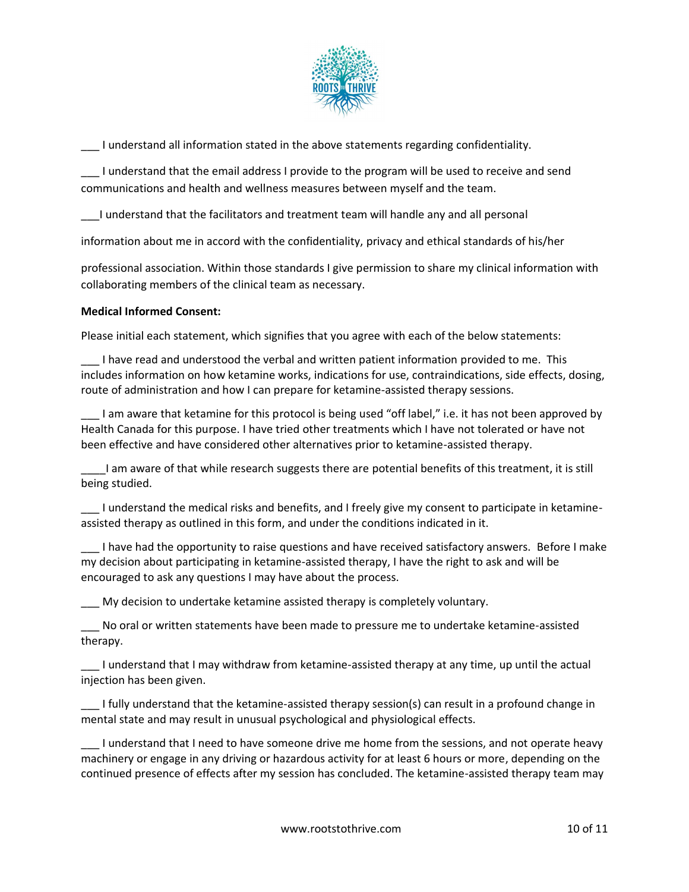

\_\_\_ I understand all information stated in the above statements regarding confidentiality.

\_\_\_ I understand that the email address I provide to the program will be used to receive and send communications and health and wellness measures between myself and the team.

\_\_\_I understand that the facilitators and treatment team will handle any and all personal

information about me in accord with the confidentiality, privacy and ethical standards of his/her

professional association. Within those standards I give permission to share my clinical information with collaborating members of the clinical team as necessary.

#### **Medical Informed Consent:**

Please initial each statement, which signifies that you agree with each of the below statements:

I have read and understood the verbal and written patient information provided to me. This includes information on how ketamine works, indications for use, contraindications, side effects, dosing, route of administration and how I can prepare for ketamine-assisted therapy sessions.

\_\_\_ I am aware that ketamine for this protocol is being used "off label," i.e. it has not been approved by Health Canada for this purpose. I have tried other treatments which I have not tolerated or have not been effective and have considered other alternatives prior to ketamine-assisted therapy.

\_\_\_\_I am aware of that while research suggests there are potential benefits of this treatment, it is still being studied.

\_\_\_ I understand the medical risks and benefits, and I freely give my consent to participate in ketamineassisted therapy as outlined in this form, and under the conditions indicated in it.

\_\_\_ I have had the opportunity to raise questions and have received satisfactory answers. Before I make my decision about participating in ketamine-assisted therapy, I have the right to ask and will be encouraged to ask any questions I may have about the process.

\_\_\_ My decision to undertake ketamine assisted therapy is completely voluntary.

\_\_\_ No oral or written statements have been made to pressure me to undertake ketamine-assisted therapy.

\_\_\_ I understand that I may withdraw from ketamine-assisted therapy at any time, up until the actual injection has been given.

\_\_\_ I fully understand that the ketamine-assisted therapy session(s) can result in a profound change in mental state and may result in unusual psychological and physiological effects.

\_\_\_ I understand that I need to have someone drive me home from the sessions, and not operate heavy machinery or engage in any driving or hazardous activity for at least 6 hours or more, depending on the continued presence of effects after my session has concluded. The ketamine-assisted therapy team may